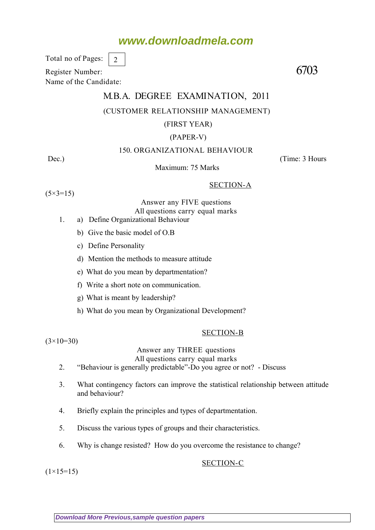# **www.downloadmela.com**

Total no of Pages: 2

Register Number: 6703 Name of the Candidate:

# M.B.A. DEGREE EXAMINATION, 2011 (CUSTOMER RELATIONSHIP MANAGEMENT)

# (FIRST YEAR)

## (PAPER-V)

# 150. ORGANIZATIONAL BEHAVIOUR

Dec.) (Time: 3 Hours

Maximum: 75 Marks

SECTION-A

 $(5 \times 3 = 15)$ 

Answer any FIVE questions All questions carry equal marks

- 1. a) Define Organizational Behaviour
	- b) Give the basic model of O.B
	- c) Define Personality
	- d) Mention the methods to measure attitude
	- e) What do you mean by departmentation?
	- f) Write a short note on communication.
	- g) What is meant by leadership?
	- h) What do you mean by Organizational Development?

## SECTION-B

 $(3\times10=30)$ 

# Answer any THREE questions

All questions carry equal marks

- 2. "Behaviour is generally predictable"-Do you agree or not? Discuss
- 3. What contingency factors can improve the statistical relationship between attitude and behaviour?
- 4. Briefly explain the principles and types of departmentation.
- 5. Discuss the various types of groups and their characteristics.
- 6. Why is change resisted? How do you overcome the resistance to change?

## SECTION-C

 $(1\times15=15)$ 

**[Download More Previous,sample question papers](http://downloadmela.com/pages/previouspapers/previouspapers.html)**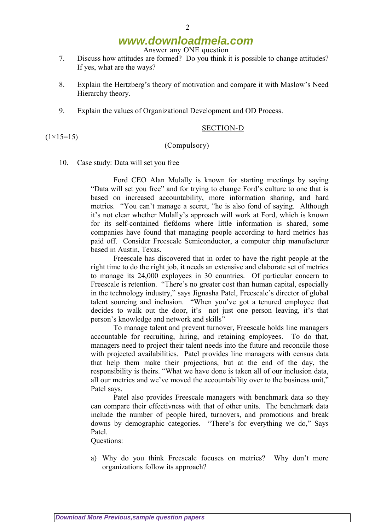# **www.downloadmela.com**

Answer any ONE question

- 7. Discuss how attitudes are formed? Do you think it is possible to change attitudes? If yes, what are the ways?
- 8. Explain the Hertzberg's theory of motivation and compare it with Maslow's Need Hierarchy theory.
- 9. Explain the values of Organizational Development and OD Process.

## SECTION-D

#### (Compulsory)

10. Case study: Data will set you free

Ford CEO Alan Mulally is known for starting meetings by saying "Data will set you free" and for trying to change Ford's culture to one that is based on increased accountability, more information sharing, and hard metrics. "You can't manage a secret, "he is also fond of saying. Although it's not clear whether Mulally's approach will work at Ford, which is known for its self-contained fiefdoms where little information is shared, some companies have found that managing people according to hard metrics has paid off. Consider Freescale Semiconductor, a computer chip manufacturer based in Austin, Texas.

Freescale has discovered that in order to have the right people at the right time to do the right job, it needs an extensive and elaborate set of metrics to manage its 24,000 exployees in 30 countries. Of particular concern to Freescale is retention. "There's no greater cost than human capital, especially in the technology industry," says Jignasha Patel, Freescale's director of global talent sourcing and inclusion. "When you've got a tenured employee that decides to walk out the door, it's not just one person leaving, it's that person's knowledge and network and skills"

To manage talent and prevent turnover, Freescale holds line managers accountable for recruiting, hiring, and retaining employees. To do that, managers need to project their talent needs into the future and reconcile those with projected availabilities. Patel provides line managers with census data that help them make their projections, but at the end of the day, the responsibility is theirs. "What we have done is taken all of our inclusion data, all our metrics and we've moved the accountability over to the business unit," Patel says.

Patel also provides Freescale managers with benchmark data so they can compare their effectivness with that of other units. The benchmark data include the number of people hired, turnovers, and promotions and break downs by demographic categories. "There's for everything we do," Says Patel.

Questions:

a) Why do you think Freescale focuses on metrics? Why don't more organizations follow its approach?

 $(1\times15=15)$